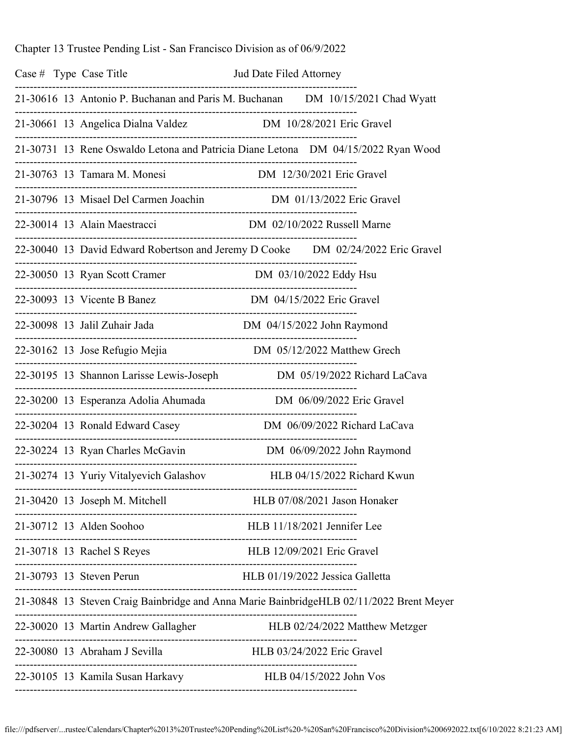Chapter 13 Trustee Pending List - San Francisco Division as of 06/9/2022

| Case $#$ Type Case Title |                                                                                         |                                        |                              |
|--------------------------|-----------------------------------------------------------------------------------------|----------------------------------------|------------------------------|
|                          | 21-30616 13 Antonio P. Buchanan and Paris M. Buchanan DM 10/15/2021 Chad Wyatt          |                                        |                              |
|                          | 21-30661 13 Angelica Dialna Valdez DM 10/28/2021 Eric Gravel                            |                                        |                              |
|                          | 21-30731 13 Rene Oswaldo Letona and Patricia Diane Letona  DM 04/15/2022 Ryan Wood      |                                        |                              |
|                          |                                                                                         |                                        |                              |
|                          | 21-30796 13 Misael Del Carmen Joachin DM 01/13/2022 Eric Gravel                         |                                        |                              |
|                          | 22-30014 13 Alain Maestracci DM 02/10/2022 Russell Marne                                |                                        |                              |
|                          | 22-30040 13 David Edward Robertson and Jeremy D Cooke DM 02/24/2022 Eric Gravel         |                                        |                              |
|                          |                                                                                         |                                        |                              |
|                          | 22-30093 13 Vicente B Banez DM 04/15/2022 Eric Gravel                                   |                                        |                              |
|                          | 22-30098 13 Jalil Zuhair Jada Manuel DM 04/15/2022 John Raymond                         |                                        |                              |
|                          | 22-30162 13 Jose Refugio Mejia Marthew Grech                                            | ._____________________________________ |                              |
|                          | 22-30195 13 Shannon Larisse Lewis-Joseph DM 05/19/2022 Richard LaCava                   |                                        |                              |
|                          | 22-30200 13 Esperanza Adolia Ahumada Manuel DM 06/09/2022 Eric Gravel                   |                                        |                              |
|                          | 22-30204 13 Ronald Edward Casey DM 06/09/2022 Richard LaCava                            |                                        |                              |
|                          | 22-30224 13 Ryan Charles McGavin DM 06/09/2022 John Raymond                             |                                        |                              |
|                          | 21-30274 13 Yuriy Vitalyevich Galashov                                                  |                                        | HLB 04/15/2022 Richard Kwun  |
|                          | 21-30420 13 Joseph M. Mitchell                                                          |                                        | HLB 07/08/2021 Jason Honaker |
|                          |                                                                                         |                                        | HLB 11/18/2021 Jennifer Lee  |
|                          | 21-30718 13 Rachel S Reyes                                                              |                                        |                              |
|                          | 21-30793 13 Steven Perun HLB 01/19/2022 Jessica Galletta                                |                                        |                              |
|                          | 21-30848 13 Steven Craig Bainbridge and Anna Marie BainbridgeHLB 02/11/2022 Brent Meyer |                                        |                              |
|                          |                                                                                         |                                        |                              |
|                          | 22-30080 13 Abraham J Sevilla HLB 03/24/2022 Eric Gravel                                |                                        |                              |
|                          | 22-30105 13 Kamila Susan Harkavy HLB 04/15/2022 John Vos                                |                                        |                              |

file:///pdfserver/...rustee/Calendars/Chapter%2013%20Trustee%20Pending%20List%20-%20San%20Francisco%20Division%200692022.txt[6/10/2022 8:21:23 AM]